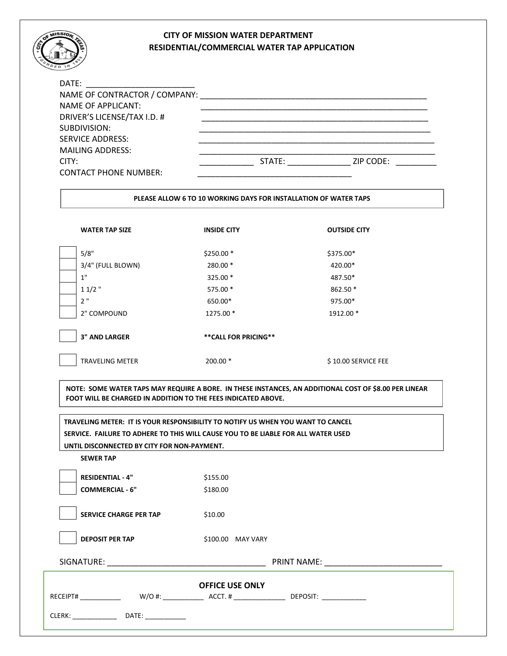## **CITY OF MISSION WATER DEPARTMENT RESIDENTIAL/COMMERCIAL WATER TAP APPLICATION**

| DATE:                         |        |           |
|-------------------------------|--------|-----------|
| NAME OF CONTRACTOR / COMPANY: |        |           |
| <b>NAME OF APPLICANT:</b>     |        |           |
| DRIVER'S LICENSE/TAX I.D. #   |        |           |
| SUBDIVISION:                  |        |           |
| <b>SERVICE ADDRESS:</b>       |        |           |
| <b>MAILING ADDRESS:</b>       |        |           |
| CITY:                         | STATE: | ZIP CODE: |
| <b>CONTACT PHONE NUMBER:</b>  |        |           |

## **PLEASE ALLOW 6 TO 10 WORKING DAYS FOR INSTALLATION OF WATER TAPS**

| <b>WATER TAP SIZE</b>  | <b>INSIDE CITY</b>    | <b>OUTSIDE CITY</b> |
|------------------------|-----------------------|---------------------|
| 5/8"                   | $$250.00*$            | \$375.00*           |
| 3/4" (FULL BLOWN)      | 280.00 *              | 420.00*             |
| 1"                     | 325.00 *              | 487.50*             |
| $11/2$ "               | 575.00 *              | 862.50 *            |
| 2"                     | 650.00*               | 975.00*             |
| 2" COMPOUND            | 1275.00 *             | 1912.00 *           |
| <b>3" AND LARGER</b>   | ** CALL FOR PRICING** |                     |
| <b>TRAVELING METER</b> | $200.00*$             | \$10.00 SERVICE FEE |

 **FOOT WILL BE CHARGED IN ADDITION TO THE FEES INDICATED ABOVE. NOTE: SOME WATER TAPS MAY REQUIRE A BORE. IN THESE INSTANCES, AN ADDITIONAL COST OF \$8.00 PER LINEAR** 

**TRAVELING METER: IT IS YOUR RESPONSIBILITY TO NOTIFY US WHEN YOU WANT TO CANCEL SERVICE. FAILURE TO ADHERE TO THIS WILL CAUSE YOU TO BE LIABLE FOR ALL WATER USED UNTIL DISCONNECTED BY CITY FOR NON-PAYMENT.**

**SEWER TAP** 

 $\overline{a}$ 

**RESIDENTIAL - 4"** \$155.00 **COMMERCIAL - 6"** \$180.00

**SERVICE CHARGE PER TAP** \$10.00

**DEPOSIT PER TAP** \$100.00 MAY VARY

SIGNATURE: \_\_\_\_\_\_\_\_\_\_\_\_\_\_\_\_\_\_\_\_\_\_\_\_\_\_\_\_\_\_\_\_\_\_\_ PRINT NAME: \_\_\_\_\_\_\_\_\_\_\_\_\_\_\_\_\_\_\_\_\_\_\_\_\_\_

| <b>OFFICE USE ONLY</b>                     |  |  |  |  |
|--------------------------------------------|--|--|--|--|
| $W/O#$ :<br>DEPOSIT:<br>ACCT.#<br>RECEIPT# |  |  |  |  |
| CLERK:<br>DATE:                            |  |  |  |  |